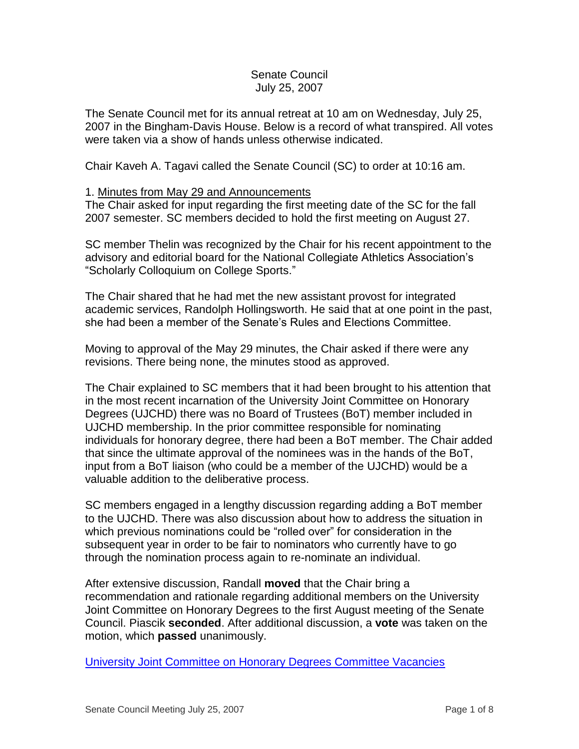# Senate Council July 25, 2007

The Senate Council met for its annual retreat at 10 am on Wednesday, July 25, 2007 in the Bingham-Davis House. Below is a record of what transpired. All votes were taken via a show of hands unless otherwise indicated.

Chair Kaveh A. Tagavi called the Senate Council (SC) to order at 10:16 am.

# 1. Minutes from May 29 and Announcements

The Chair asked for input regarding the first meeting date of the SC for the fall 2007 semester. SC members decided to hold the first meeting on August 27.

SC member Thelin was recognized by the Chair for his recent appointment to the advisory and editorial board for the National Collegiate Athletics Association's "Scholarly Colloquium on College Sports."

The Chair shared that he had met the new assistant provost for integrated academic services, Randolph Hollingsworth. He said that at one point in the past, she had been a member of the Senate's Rules and Elections Committee.

Moving to approval of the May 29 minutes, the Chair asked if there were any revisions. There being none, the minutes stood as approved.

The Chair explained to SC members that it had been brought to his attention that in the most recent incarnation of the University Joint Committee on Honorary Degrees (UJCHD) there was no Board of Trustees (BoT) member included in UJCHD membership. In the prior committee responsible for nominating individuals for honorary degree, there had been a BoT member. The Chair added that since the ultimate approval of the nominees was in the hands of the BoT, input from a BoT liaison (who could be a member of the UJCHD) would be a valuable addition to the deliberative process.

SC members engaged in a lengthy discussion regarding adding a BoT member to the UJCHD. There was also discussion about how to address the situation in which previous nominations could be "rolled over" for consideration in the subsequent year in order to be fair to nominators who currently have to go through the nomination process again to re-nominate an individual.

After extensive discussion, Randall **moved** that the Chair bring a recommendation and rationale regarding additional members on the University Joint Committee on Honorary Degrees to the first August meeting of the Senate Council. Piascik **seconded**. After additional discussion, a **vote** was taken on the motion, which **passed** unanimously.

[University Joint Committee on Honorary Degrees Committee Vacancies](http://www.uky.edu/USC/New/files/Honorary%20Degrees.pdf)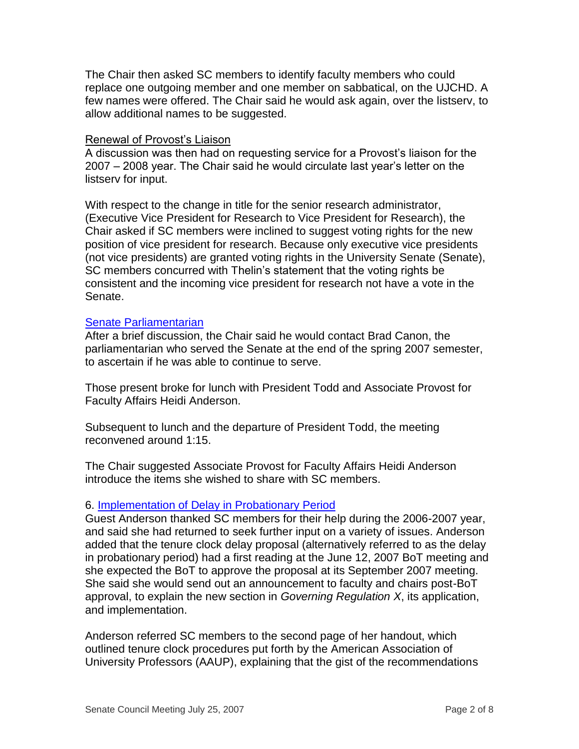The Chair then asked SC members to identify faculty members who could replace one outgoing member and one member on sabbatical, on the UJCHD. A few names were offered. The Chair said he would ask again, over the listserv, to allow additional names to be suggested.

### Renewal of Provost's Liaison

A discussion was then had on requesting service for a Provost's liaison for the 2007 – 2008 year. The Chair said he would circulate last year's letter on the listserv for input.

With respect to the change in title for the senior research administrator, (Executive Vice President for Research to Vice President for Research), the Chair asked if SC members were inclined to suggest voting rights for the new position of vice president for research. Because only executive vice presidents (not vice presidents) are granted voting rights in the University Senate (Senate), SC members concurred with Thelin's statement that the voting rights be consistent and the incoming vice president for research not have a vote in the Senate.

### [Senate Parliamentarian](http://www.uky.edu/USC/New/files/Parliamentarian.pdf)

After a brief discussion, the Chair said he would contact Brad Canon, the parliamentarian who served the Senate at the end of the spring 2007 semester, to ascertain if he was able to continue to serve.

Those present broke for lunch with President Todd and Associate Provost for Faculty Affairs Heidi Anderson.

Subsequent to lunch and the departure of President Todd, the meeting reconvened around 1:15.

The Chair suggested Associate Provost for Faculty Affairs Heidi Anderson introduce the items she wished to share with SC members.

### 6. [Implementation of Delay in Probationary Period](http://www.uky.edu/USC/New/files/AutoExtTenClock.pdf)

Guest Anderson thanked SC members for their help during the 2006-2007 year, and said she had returned to seek further input on a variety of issues. Anderson added that the tenure clock delay proposal (alternatively referred to as the delay in probationary period) had a first reading at the June 12, 2007 BoT meeting and she expected the BoT to approve the proposal at its September 2007 meeting. She said she would send out an announcement to faculty and chairs post-BoT approval, to explain the new section in *Governing Regulation X*, its application, and implementation.

Anderson referred SC members to the second page of her handout, which outlined tenure clock procedures put forth by the American Association of University Professors (AAUP), explaining that the gist of the recommendations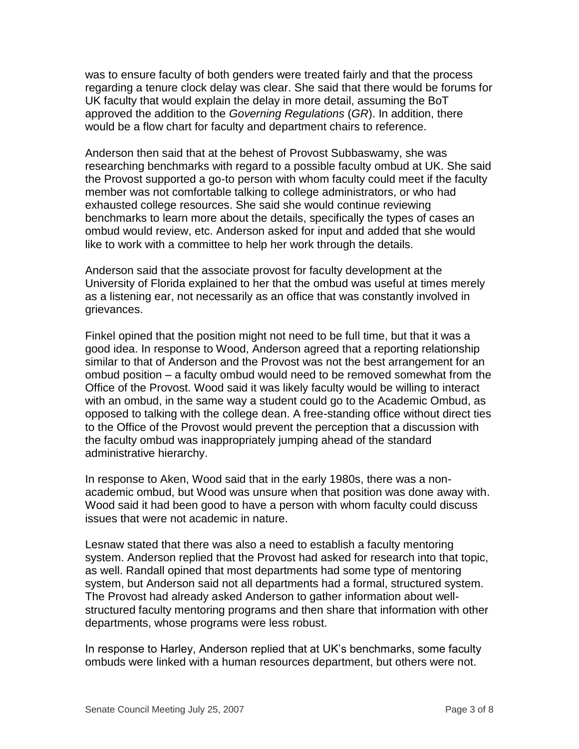was to ensure faculty of both genders were treated fairly and that the process regarding a tenure clock delay was clear. She said that there would be forums for UK faculty that would explain the delay in more detail, assuming the BoT approved the addition to the *Governing Regulations* (*GR*). In addition, there would be a flow chart for faculty and department chairs to reference.

Anderson then said that at the behest of Provost Subbaswamy, she was researching benchmarks with regard to a possible faculty ombud at UK. She said the Provost supported a go-to person with whom faculty could meet if the faculty member was not comfortable talking to college administrators, or who had exhausted college resources. She said she would continue reviewing benchmarks to learn more about the details, specifically the types of cases an ombud would review, etc. Anderson asked for input and added that she would like to work with a committee to help her work through the details.

Anderson said that the associate provost for faculty development at the University of Florida explained to her that the ombud was useful at times merely as a listening ear, not necessarily as an office that was constantly involved in grievances.

Finkel opined that the position might not need to be full time, but that it was a good idea. In response to Wood, Anderson agreed that a reporting relationship similar to that of Anderson and the Provost was not the best arrangement for an ombud position – a faculty ombud would need to be removed somewhat from the Office of the Provost. Wood said it was likely faculty would be willing to interact with an ombud, in the same way a student could go to the Academic Ombud, as opposed to talking with the college dean. A free-standing office without direct ties to the Office of the Provost would prevent the perception that a discussion with the faculty ombud was inappropriately jumping ahead of the standard administrative hierarchy.

In response to Aken, Wood said that in the early 1980s, there was a nonacademic ombud, but Wood was unsure when that position was done away with. Wood said it had been good to have a person with whom faculty could discuss issues that were not academic in nature.

Lesnaw stated that there was also a need to establish a faculty mentoring system. Anderson replied that the Provost had asked for research into that topic, as well. Randall opined that most departments had some type of mentoring system, but Anderson said not all departments had a formal, structured system. The Provost had already asked Anderson to gather information about wellstructured faculty mentoring programs and then share that information with other departments, whose programs were less robust.

In response to Harley, Anderson replied that at UK's benchmarks, some faculty ombuds were linked with a human resources department, but others were not.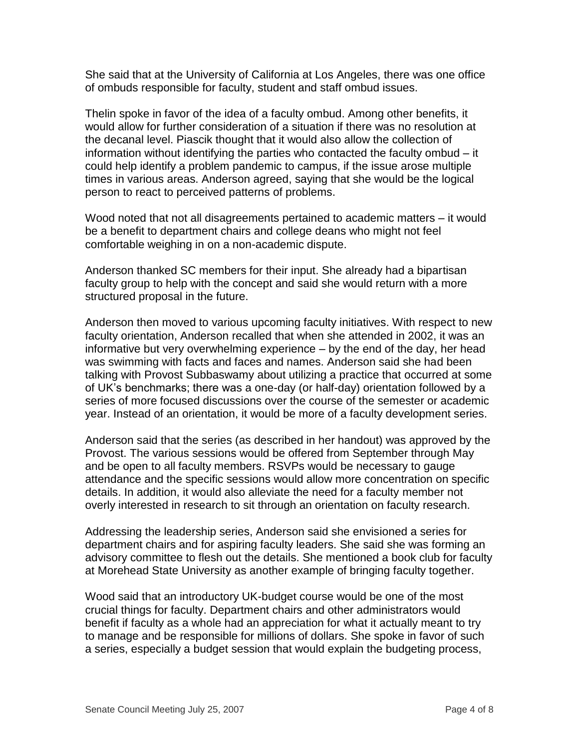She said that at the University of California at Los Angeles, there was one office of ombuds responsible for faculty, student and staff ombud issues.

Thelin spoke in favor of the idea of a faculty ombud. Among other benefits, it would allow for further consideration of a situation if there was no resolution at the decanal level. Piascik thought that it would also allow the collection of information without identifying the parties who contacted the faculty ombud – it could help identify a problem pandemic to campus, if the issue arose multiple times in various areas. Anderson agreed, saying that she would be the logical person to react to perceived patterns of problems.

Wood noted that not all disagreements pertained to academic matters – it would be a benefit to department chairs and college deans who might not feel comfortable weighing in on a non-academic dispute.

Anderson thanked SC members for their input. She already had a bipartisan faculty group to help with the concept and said she would return with a more structured proposal in the future.

Anderson then moved to various upcoming faculty initiatives. With respect to new faculty orientation, Anderson recalled that when she attended in 2002, it was an informative but very overwhelming experience – by the end of the day, her head was swimming with facts and faces and names. Anderson said she had been talking with Provost Subbaswamy about utilizing a practice that occurred at some of UK's benchmarks; there was a one-day (or half-day) orientation followed by a series of more focused discussions over the course of the semester or academic year. Instead of an orientation, it would be more of a faculty development series.

Anderson said that the series (as described in her handout) was approved by the Provost. The various sessions would be offered from September through May and be open to all faculty members. RSVPs would be necessary to gauge attendance and the specific sessions would allow more concentration on specific details. In addition, it would also alleviate the need for a faculty member not overly interested in research to sit through an orientation on faculty research.

Addressing the leadership series, Anderson said she envisioned a series for department chairs and for aspiring faculty leaders. She said she was forming an advisory committee to flesh out the details. She mentioned a book club for faculty at Morehead State University as another example of bringing faculty together.

Wood said that an introductory UK-budget course would be one of the most crucial things for faculty. Department chairs and other administrators would benefit if faculty as a whole had an appreciation for what it actually meant to try to manage and be responsible for millions of dollars. She spoke in favor of such a series, especially a budget session that would explain the budgeting process,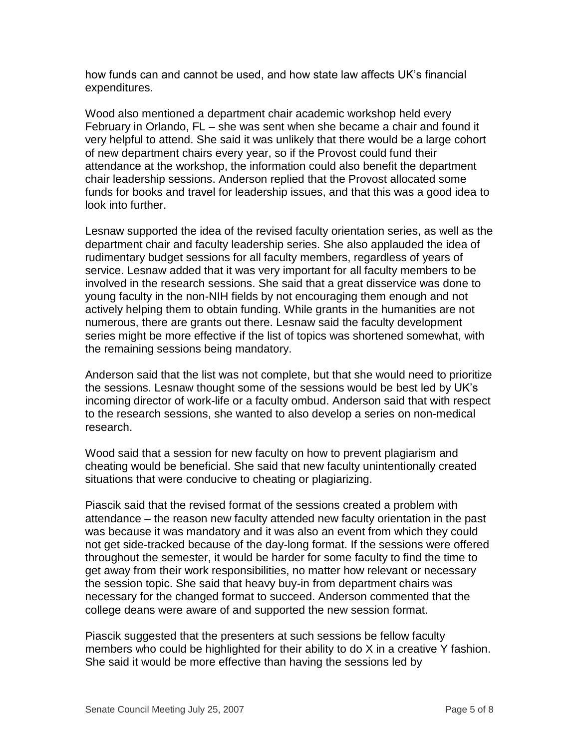how funds can and cannot be used, and how state law affects UK's financial expenditures.

Wood also mentioned a department chair academic workshop held every February in Orlando, FL – she was sent when she became a chair and found it very helpful to attend. She said it was unlikely that there would be a large cohort of new department chairs every year, so if the Provost could fund their attendance at the workshop, the information could also benefit the department chair leadership sessions. Anderson replied that the Provost allocated some funds for books and travel for leadership issues, and that this was a good idea to look into further.

Lesnaw supported the idea of the revised faculty orientation series, as well as the department chair and faculty leadership series. She also applauded the idea of rudimentary budget sessions for all faculty members, regardless of years of service. Lesnaw added that it was very important for all faculty members to be involved in the research sessions. She said that a great disservice was done to young faculty in the non-NIH fields by not encouraging them enough and not actively helping them to obtain funding. While grants in the humanities are not numerous, there are grants out there. Lesnaw said the faculty development series might be more effective if the list of topics was shortened somewhat, with the remaining sessions being mandatory.

Anderson said that the list was not complete, but that she would need to prioritize the sessions. Lesnaw thought some of the sessions would be best led by UK's incoming director of work-life or a faculty ombud. Anderson said that with respect to the research sessions, she wanted to also develop a series on non-medical research.

Wood said that a session for new faculty on how to prevent plagiarism and cheating would be beneficial. She said that new faculty unintentionally created situations that were conducive to cheating or plagiarizing.

Piascik said that the revised format of the sessions created a problem with attendance – the reason new faculty attended new faculty orientation in the past was because it was mandatory and it was also an event from which they could not get side-tracked because of the day-long format. If the sessions were offered throughout the semester, it would be harder for some faculty to find the time to get away from their work responsibilities, no matter how relevant or necessary the session topic. She said that heavy buy-in from department chairs was necessary for the changed format to succeed. Anderson commented that the college deans were aware of and supported the new session format.

Piascik suggested that the presenters at such sessions be fellow faculty members who could be highlighted for their ability to do X in a creative Y fashion. She said it would be more effective than having the sessions led by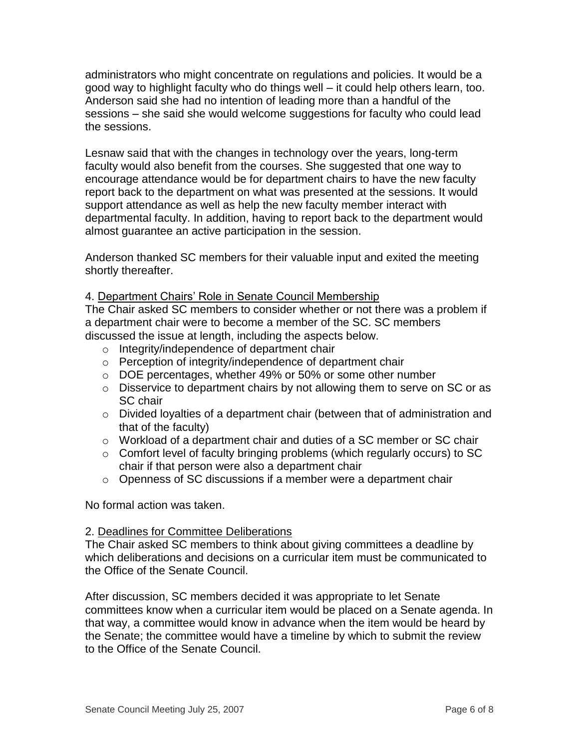administrators who might concentrate on regulations and policies. It would be a good way to highlight faculty who do things well – it could help others learn, too. Anderson said she had no intention of leading more than a handful of the sessions – she said she would welcome suggestions for faculty who could lead the sessions.

Lesnaw said that with the changes in technology over the years, long-term faculty would also benefit from the courses. She suggested that one way to encourage attendance would be for department chairs to have the new faculty report back to the department on what was presented at the sessions. It would support attendance as well as help the new faculty member interact with departmental faculty. In addition, having to report back to the department would almost guarantee an active participation in the session.

Anderson thanked SC members for their valuable input and exited the meeting shortly thereafter.

# 4. Department Chairs' Role in Senate Council Membership

The Chair asked SC members to consider whether or not there was a problem if a department chair were to become a member of the SC. SC members discussed the issue at length, including the aspects below.

- o Integrity/independence of department chair
- o Perception of integrity/independence of department chair
- o DOE percentages, whether 49% or 50% or some other number
- o Disservice to department chairs by not allowing them to serve on SC or as SC chair
- o Divided loyalties of a department chair (between that of administration and that of the faculty)
- $\circ$  Workload of a department chair and duties of a SC member or SC chair
- o Comfort level of faculty bringing problems (which regularly occurs) to SC chair if that person were also a department chair
- o Openness of SC discussions if a member were a department chair

No formal action was taken.

### 2. Deadlines for Committee Deliberations

The Chair asked SC members to think about giving committees a deadline by which deliberations and decisions on a curricular item must be communicated to the Office of the Senate Council.

After discussion, SC members decided it was appropriate to let Senate committees know when a curricular item would be placed on a Senate agenda. In that way, a committee would know in advance when the item would be heard by the Senate; the committee would have a timeline by which to submit the review to the Office of the Senate Council.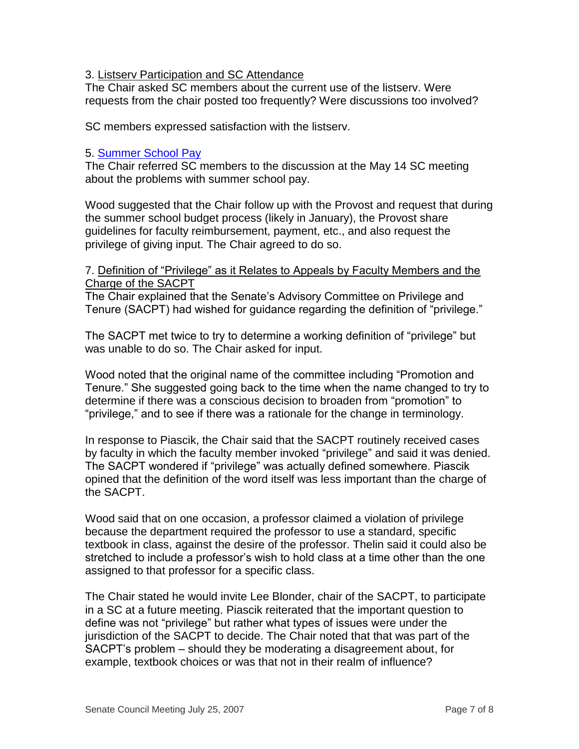# 3. Listserv Participation and SC Attendance

The Chair asked SC members about the current use of the listserv. Were requests from the chair posted too frequently? Were discussions too involved?

SC members expressed satisfaction with the listserv.

# 5. [Summer School Pay](http://www.uky.edu/USC/New/files/FW-summer%20school.pdf)

The Chair referred SC members to the discussion at the May 14 SC meeting about the problems with summer school pay.

Wood suggested that the Chair follow up with the Provost and request that during the summer school budget process (likely in January), the Provost share guidelines for faculty reimbursement, payment, etc., and also request the privilege of giving input. The Chair agreed to do so.

#### 7. Definition of "Privilege" as it Relates to Appeals by Faculty Members and the Charge of the SACPT

The Chair explained that the Senate's Advisory Committee on Privilege and Tenure (SACPT) had wished for guidance regarding the definition of "privilege."

The SACPT met twice to try to determine a working definition of "privilege" but was unable to do so. The Chair asked for input.

Wood noted that the original name of the committee including "Promotion and Tenure." She suggested going back to the time when the name changed to try to determine if there was a conscious decision to broaden from "promotion" to "privilege," and to see if there was a rationale for the change in terminology.

In response to Piascik, the Chair said that the SACPT routinely received cases by faculty in which the faculty member invoked "privilege" and said it was denied. The SACPT wondered if "privilege" was actually defined somewhere. Piascik opined that the definition of the word itself was less important than the charge of the SACPT.

Wood said that on one occasion, a professor claimed a violation of privilege because the department required the professor to use a standard, specific textbook in class, against the desire of the professor. Thelin said it could also be stretched to include a professor's wish to hold class at a time other than the one assigned to that professor for a specific class.

The Chair stated he would invite Lee Blonder, chair of the SACPT, to participate in a SC at a future meeting. Piascik reiterated that the important question to define was not "privilege" but rather what types of issues were under the jurisdiction of the SACPT to decide. The Chair noted that that was part of the SACPT's problem – should they be moderating a disagreement about, for example, textbook choices or was that not in their realm of influence?